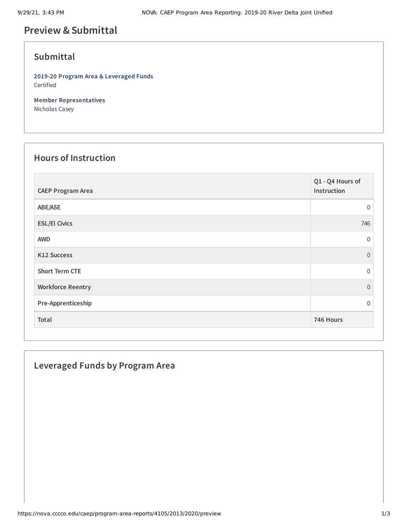# **Preview &Submittal**

## **Submittal**

**2019-20 Program Area & Leveraged Funds** Certified

**Member Representatives** Nicholas Casey

#### **Hours of Instruction**

| <b>CAEP Program Area</b> | Q1 - Q4 Hours of<br>Instruction |
|--------------------------|---------------------------------|
| ABE/ASE                  | $\mathbf{0}$                    |
| <b>ESL/El Civics</b>     | 746                             |
| <b>AWD</b>               | $\mathbf 0$                     |
| K12 Success              | $\Omega$                        |
| <b>Short Term CTE</b>    | $\mathbf{0}$                    |
| <b>Workforce Reentry</b> | $\Omega$                        |
| Pre-Apprenticeship       | $\Omega$                        |
| Total                    | 746 Hours                       |

### **Leveraged Funds by Program Area**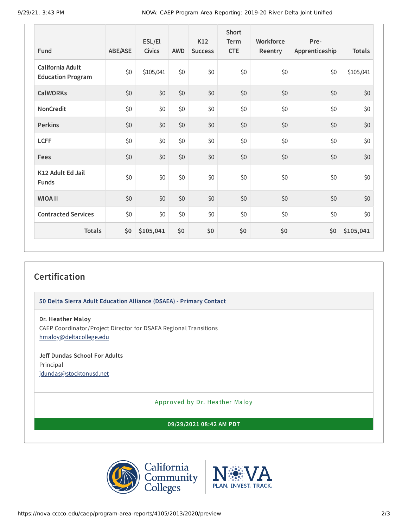|                                              |                | ESL/El        |            | K12            | <b>Short</b><br>Term | Workforce | Pre-           |               |
|----------------------------------------------|----------------|---------------|------------|----------------|----------------------|-----------|----------------|---------------|
| Fund                                         | <b>ABE/ASE</b> | <b>Civics</b> | <b>AWD</b> | <b>Success</b> | <b>CTE</b>           | Reentry   | Apprenticeship | <b>Totals</b> |
| California Adult<br><b>Education Program</b> | \$0            | \$105,041     | \$0        | \$0            | \$0                  | \$0       | \$0            | \$105,041     |
| <b>CalWORKs</b>                              | \$0            | \$0           | \$0        | \$0            | \$0                  | \$0       | \$0            | \$0           |
| <b>NonCredit</b>                             | \$0            | \$0           | \$0        | \$0            | \$0                  | \$0       | \$0            | \$0           |
| <b>Perkins</b>                               | \$0            | \$0           | \$0        | \$0            | \$0                  | \$0       | \$0            | \$0           |
| <b>LCFF</b>                                  | \$0            | \$0           | \$0        | \$0            | \$0                  | \$0       | \$0            | \$0           |
| Fees                                         | \$0            | \$0           | \$0        | \$0            | \$0                  | \$0       | \$0            | \$0           |
| K12 Adult Ed Jail<br><b>Funds</b>            | \$0            | \$0           | \$0        | \$0            | \$0                  | \$0       | \$0            | \$0           |
| <b>WIOA II</b>                               | \$0            | \$0           | \$0        | \$0            | \$0                  | \$0       | \$0            | \$0           |
| <b>Contracted Services</b>                   | \$0            | \$0           | \$0        | \$0            | \$0                  | \$0       | \$0            | \$0           |
| <b>Totals</b>                                | \$0            | \$105,041     | \$0        | \$0            | \$0                  | \$0       | \$0            | \$105,041     |

## **Certification**

**50 Delta Sierra Adult Education Alliance (DSAEA) - Primary Contact**

**Dr. Heather Maloy**

CAEP Coordinator/Project Director for DSAEA Regional Transitions [hmaloy@deltacollege.edu](mailto:hmaloy@deltacollege.edu)

#### **Jeff Dundas School For Adults** Principal

[jdundas@stocktonusd.net](mailto:jdundas@stocktonusd.net)

Approved by Dr. Heather Maloy

**09/29/2021 08:42 AM PDT**